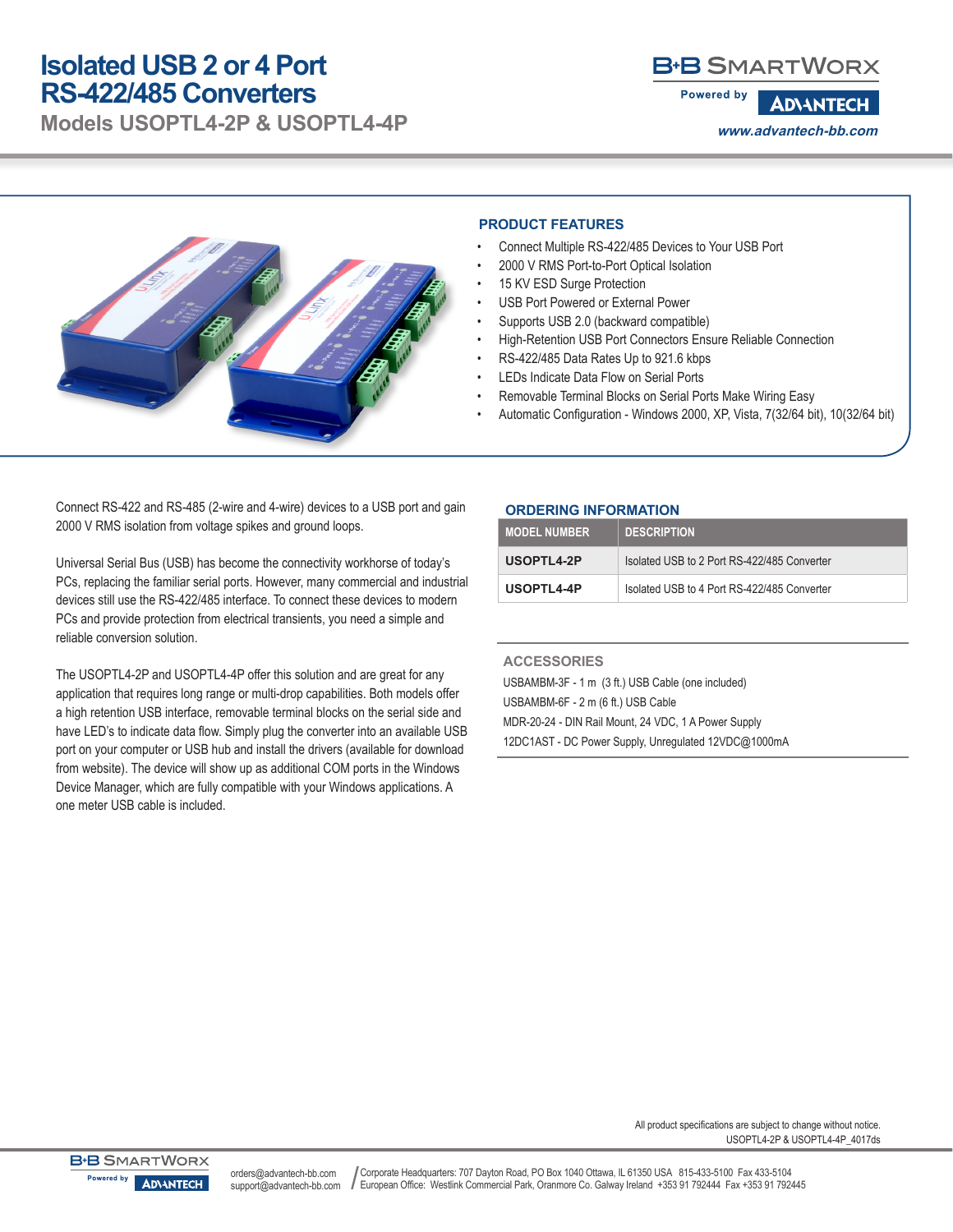# **Isolated USB 2 or 4 Port RS-422/485 Converters**

**Models USOPTL4-2P & USOPTL4-4P**

# **B-B SMARTWORX**

**Powered by ADVANTECH www.advantech-bb.com**



#### **PRODUCT FEATURES**

- Connect Multiple RS-422/485 Devices to Your USB Port
- 2000 V RMS Port-to-Port Optical Isolation
- 15 KV ESD Surge Protection
- USB Port Powered or External Power
- Supports USB 2.0 (backward compatible)
- High-Retention USB Port Connectors Ensure Reliable Connection
- RS-422/485 Data Rates Up to 921.6 kbps
- LEDs Indicate Data Flow on Serial Ports
- Removable Terminal Blocks on Serial Ports Make Wiring Easy
- Automatic Configuration Windows 2000, XP, Vista, 7(32/64 bit), 10(32/64 bit)

Connect RS-422 and RS-485 (2-wire and 4-wire) devices to a USB port and gain 2000 V RMS isolation from voltage spikes and ground loops.

Universal Serial Bus (USB) has become the connectivity workhorse of today's PCs, replacing the familiar serial ports. However, many commercial and industrial devices still use the RS-422/485 interface. To connect these devices to modern PCs and provide protection from electrical transients, you need a simple and reliable conversion solution.

The USOPTL4-2P and USOPTL4-4P offer this solution and are great for any application that requires long range or multi-drop capabilities. Both models offer a high retention USB interface, removable terminal blocks on the serial side and have LED's to indicate data flow. Simply plug the converter into an available USB port on your computer or USB hub and install the drivers (available for download from website). The device will show up as additional COM ports in the Windows Device Manager, which are fully compatible with your Windows applications. A one meter USB cable is included.

### **ORDERING INFORMATION**

| <b>MODEL NUMBER</b> | <b>DESCRIPTION</b>                          |
|---------------------|---------------------------------------------|
| USOPTL4-2P          | Isolated USB to 2 Port RS-422/485 Converter |
| USOPTL4-4P          | Isolated USB to 4 Port RS-422/485 Converter |

## **ACCESSORIES** USBAMBM-3F - 1 m (3 ft.) USB Cable (one included) USBAMBM-6F - 2 m (6 ft.) USB Cable MDR-20-24 - DIN Rail Mount, 24 VDC, 1 A Power Supply 12DC1AST - DC Power Supply, Unregulated 12VDC@1000mA

USOPTL4-2P & USOPTL4-4P\_4017ds All product specifications are subject to change without notice.